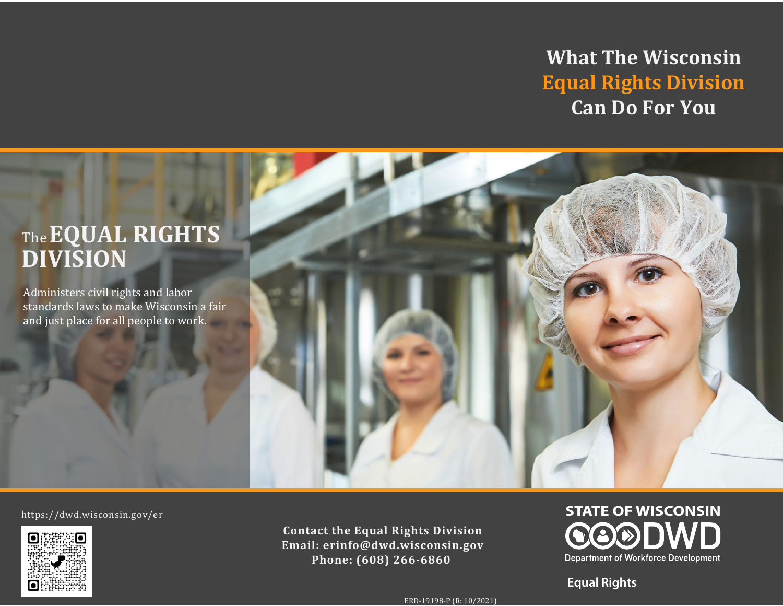**What The Wisconsin Equal Rights Division Can Do For You**

# The**EQUAL RIGHTS DIVISION**

Administers civil rights and labor standards laws to make Wisconsin a fair and just place for all people to work.



https://dwd.wisconsin.gov/er



**Contact the Equal Rights Division Email: erinfo@dwd.wisconsin.gov Phone: (608) 266-6860**

**STATE OF WISCONSIN Department of Workforce Development** 

**Equal Rights**

ERD-19198-P (R: 10/2021)